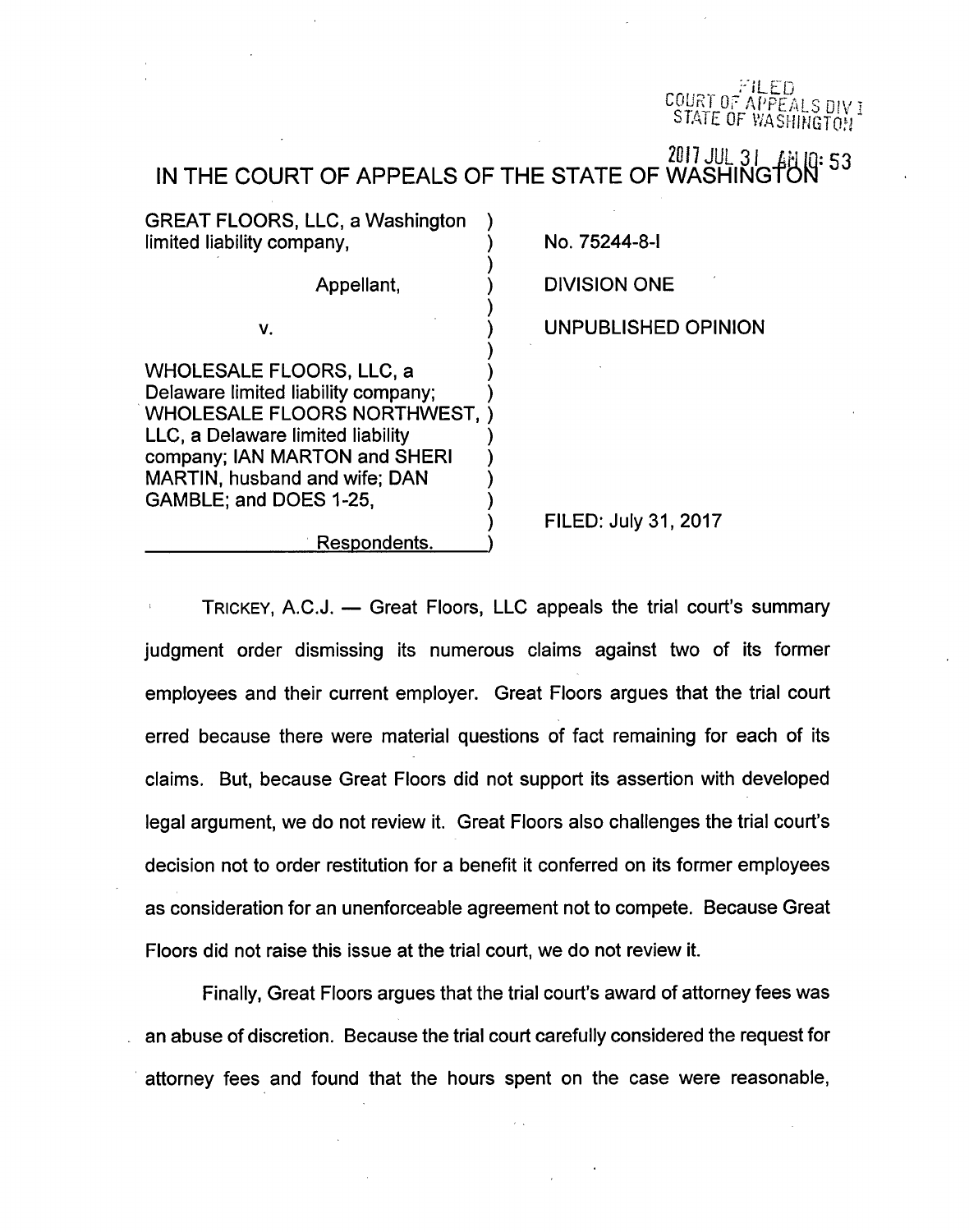# iLED COURT OF APPEALS DIV I STATE OF WASHINGTON

 $2017$  JUL 31 IN THE COURT OF APPEALS OF THE STATE OF WASHII կ։ 53

| <b>GREAT FLOORS, LLC, a Washington</b><br>limited liability company,                                                                                                                                                                          | No. 75244-8-1       |
|-----------------------------------------------------------------------------------------------------------------------------------------------------------------------------------------------------------------------------------------------|---------------------|
| Appellant,                                                                                                                                                                                                                                    | <b>DIVISION ONE</b> |
| ۷.                                                                                                                                                                                                                                            | <b>UNPUBLISHED</b>  |
| <b>WHOLESALE FLOORS, LLC, a</b><br>Delaware limited liability company;<br><b>WHOLESALE FLOORS NORTHWEST,</b><br>LLC, a Delaware limited liability<br>company; IAN MARTON and SHERI<br>MARTIN, husband and wife; DAN<br>GAMBLE; and DOES 1-25, | FILED: July 31,     |
| Respondents.                                                                                                                                                                                                                                  |                     |

SHED OPINION

ly 31, 2017

TRICKEY, A.C.J. — Great Floors, LLC appeals the trial court's summary judgment order dismissing its numerous claims against two of its former employees and their current employer. Great Floors argues that the trial court erred because there were material questions of fact remaining for each of its claims. But, because Great Floors did not support its assertion with developed legal argument, we do not review it. Great Floors also challenges the trial court's decision not to order restitution for a benefit it conferred on its former employees as consideration for an unenforceable agreement not to compete. Because Great Floors did not raise this issue at the trial court, we do not review it.

Finally, Great Floors argues that the trial court's award of attorney fees was an abuse of discretion. Because the trial court carefully considered the request for attorney fees and found that the hours spent on the case were reasonable,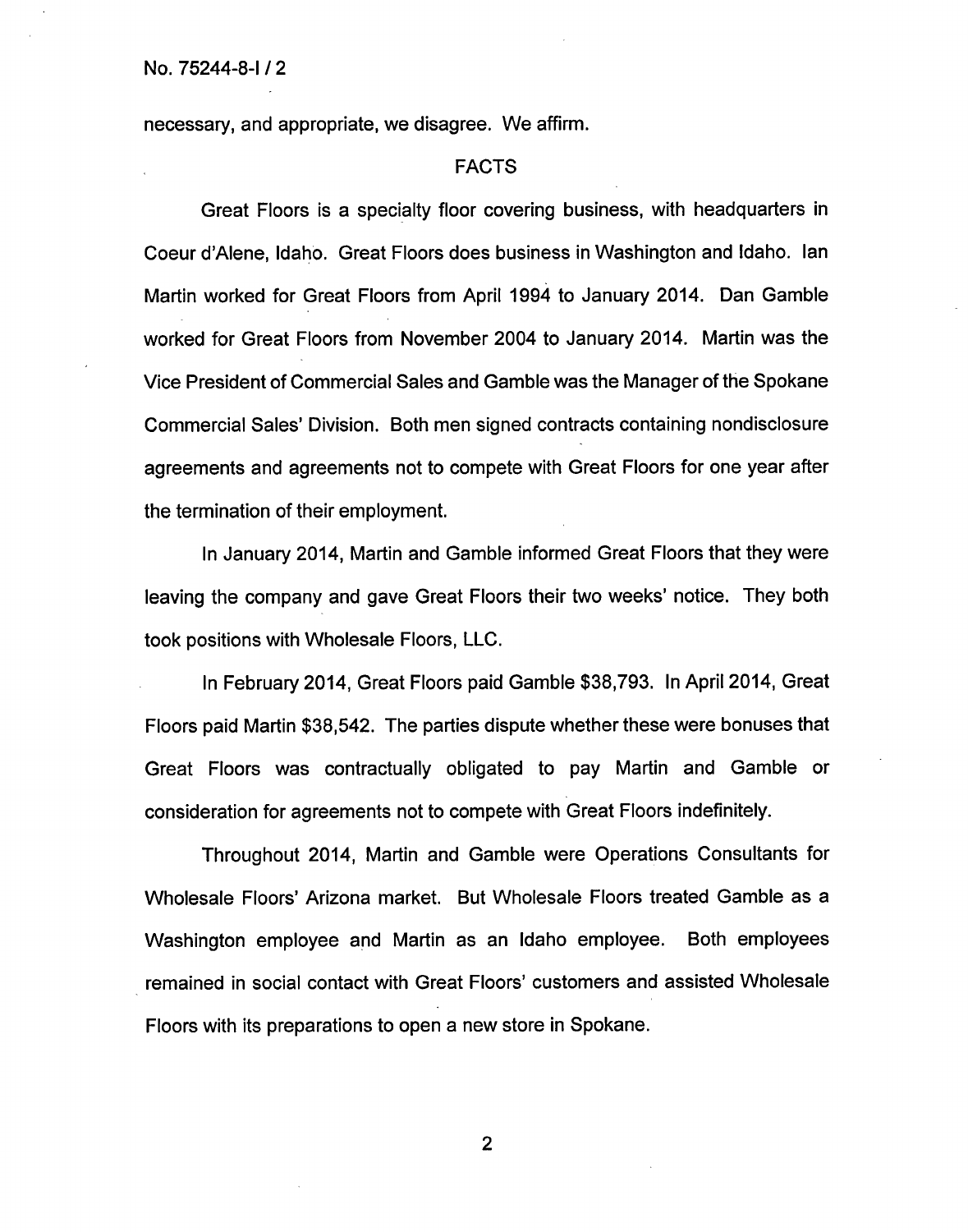No. 75244-8-1/2

necessary, and appropriate, we disagree. We affirm.

## FACTS

Great Floors is a specialty floor covering business, with headquarters in Coeur d'Alene, Idaho. Great Floors does business in Washington and Idaho. Ian Martin worked for Great Floors from April 1994 to January 2014. Dan Gamble worked for Great Floors from November 2004 to January 2014. Martin was the Vice President of Commercial Sales and Gamble was the Manager of the Spokane Commercial Sales' Division. Both men signed contracts containing nondisclosure agreements and agreements not to compete with Great Floors for one year after the termination of their employment.

In January 2014, Martin and Gamble informed Great Floors that they were leaving the company and gave Great Floors their two weeks' notice. They both took positions with Wholesale Floors, LLC.

In February 2014, Great Floors paid Gamble \$38,793. In April 2014, Great Floors paid Martin \$38,542. The parties dispute whether these were bonuses that Great Floors was contractually obligated to pay Martin and Gamble or consideration for agreements not to compete with Great Floors indefinitely.

Throughout 2014, Martin and Gamble were Operations Consultants for Wholesale Floors' Arizona market. But Wholesale Floors treated Gamble as a Washington employee and Martin as an Idaho employee. Both employees remained in social contact with Great Floors' customers and assisted Wholesale Floors with its preparations to open a new store in Spokane.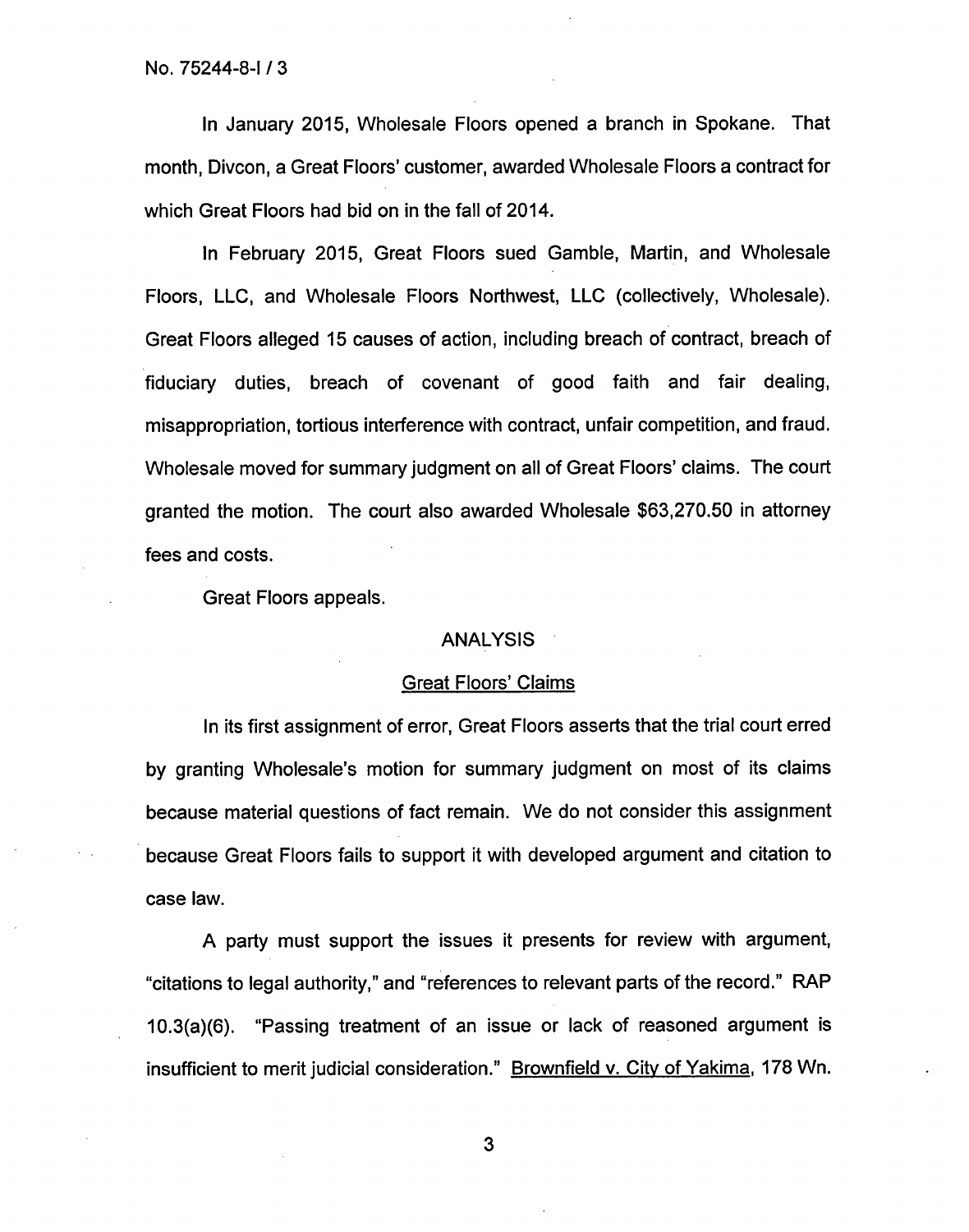In January 2015, Wholesale Floors opened a branch in Spokane. That month, Divcon, a Great Floors' customer, awarded Wholesale Floors a contract for which Great Floors had bid on in the fall of 2014.

In February 2015, Great Floors sued Gamble, Martin, and Wholesale Floors, LLC, and Wholesale Floors Northwest, LLC (collectively, Wholesale). Great Floors alleged 15 causes of action, including breach of contract, breach of fiduciary duties, breach of covenant of good faith and fair dealing, misappropriation, tortious interference with contract, unfair competition, and fraud. Wholesale moved for summary judgment on all of Great Floors' claims. The court granted the motion. The court also awarded Wholesale \$63,270.50 in attorney fees and costs.

Great Floors appeals.

# ANALYSIS

#### Great Floors' Claims

In its first assignment of error, Great Floors asserts that the trial court erred by granting Wholesale's motion for summary judgment on most of its claims because material questions of fact remain. We do not consider this assignment because Great Floors fails to support it with developed argument and citation to case law.

A party must support the issues it presents for review with argument, "citations to legal authority," and "references to relevant parts of the record." RAP 10.3(a)(6). "Passing treatment of an issue or lack of reasoned argument is insufficient to merit judicial consideration." Brownfield v. City of Yakima, 178 Wn.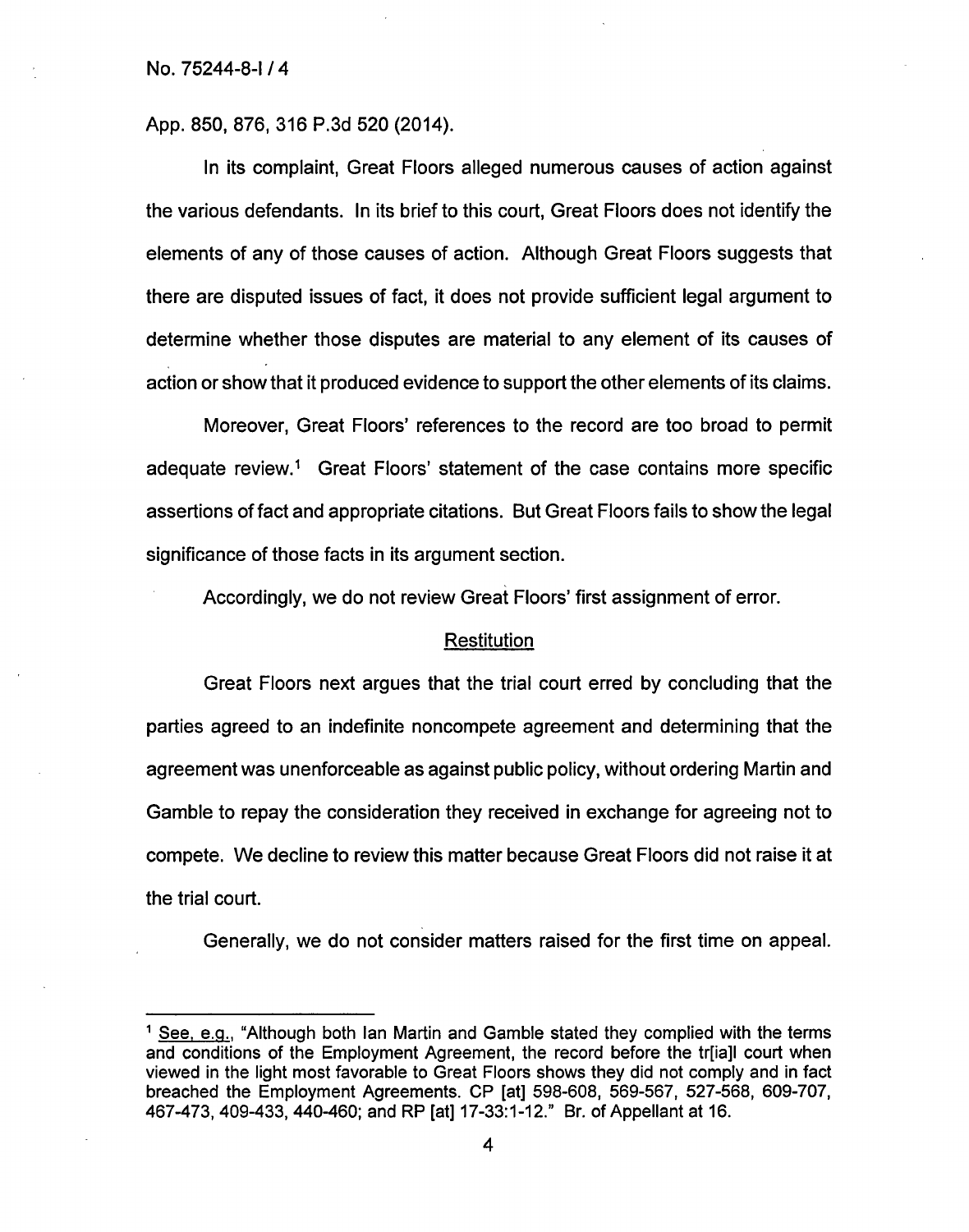App. 850, 876, 316 P.3d 520 (2014).

In its complaint, Great Floors alleged numerous causes of action against the various defendants. In its brief to this court, Great Floors does not identify the elements of any of those causes of action. Although Great Floors suggests that there are disputed issues of fact, it does not provide sufficient legal argument to determine whether those disputes are material to any element of its causes of action or show that it produced evidence to support the other elements of its claims.

Moreover, Great Floors' references to the record are too broad to permit adequate review.<sup>1</sup> Great Floors' statement of the case contains more specific assertions of fact and appropriate citations. But Great Floors fails to show the legal significance of those facts in its argument section.

Accordingly, we do not review Great Floors' first assignment of error.

## **Restitution**

Great Floors next argues that the trial court erred by concluding that the parties agreed to an indefinite noncompete agreement and determining that the agreement was unenforceable as against public policy, without ordering Martin and Gamble to repay the consideration they received in exchange for agreeing not to compete. We decline to review this matter because Great Floors did not raise it at the trial court.

Generally, we do not consider matters raised for the first time on appeal.

 $1$  See, e.g., "Although both Ian Martin and Gamble stated they complied with the terms and conditions of the Employment Agreement, the record before the tr[ia]l court when viewed in the light most favorable to Great Floors shows they did not comply and in fact breached the Employment Agreements. CP [at] 598-608, 569-567, 527-568, 609-707, 467-473, 409-433, 440-460; and RP [at] 17-33:1-12." Br. of Appellant at 16.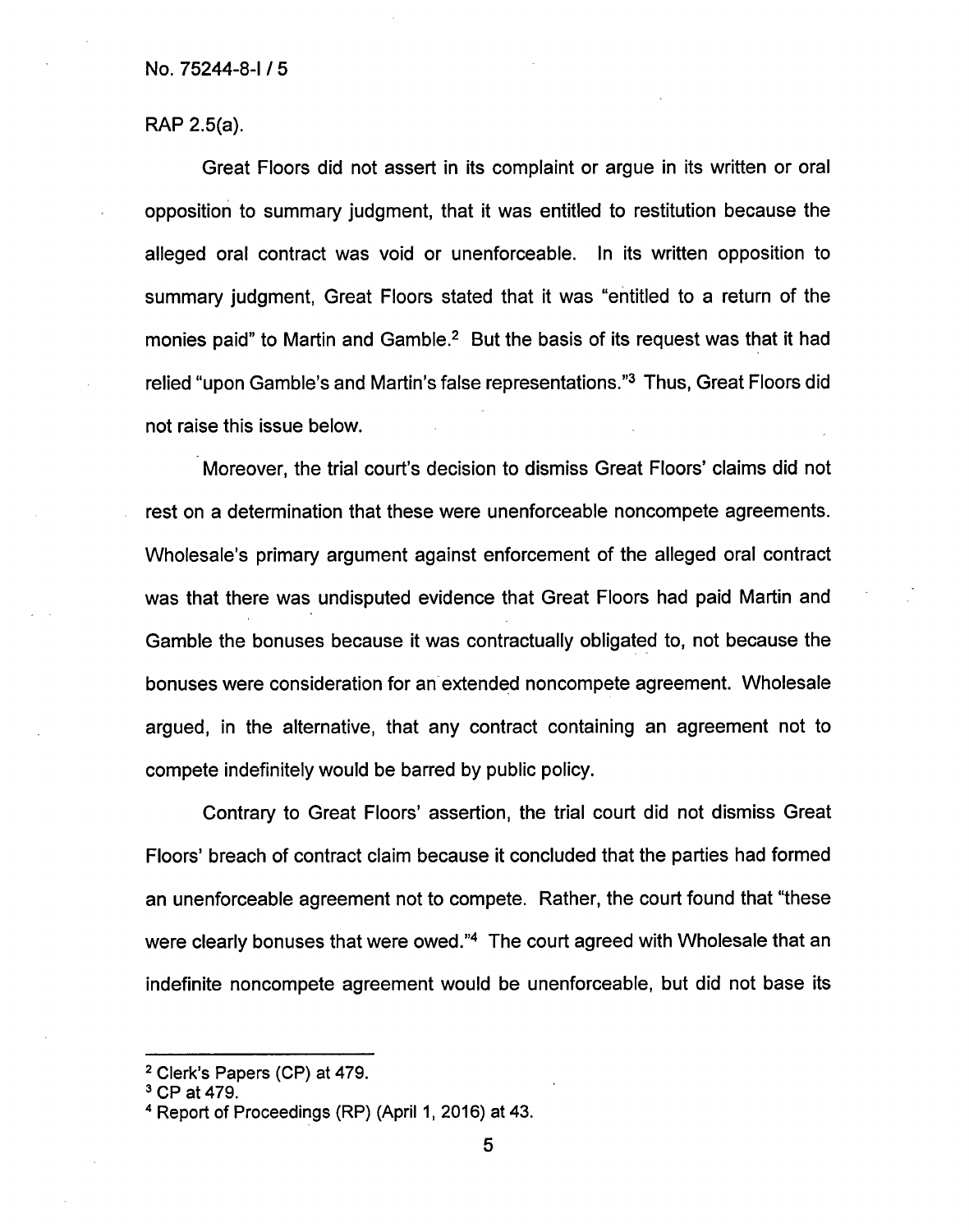No. 75244-8-1 / 5

RAP 2.5(a).

Great Floors did not assert in its complaint or argue in its written or oral opposition to summary judgment, that it was entitled to restitution because the alleged oral contract was void or unenforceable. In its written opposition to summary judgment, Great Floors stated that it was "entitled to a return of the monies paid" to Martin and Gamble.<sup>2</sup> But the basis of its request was that it had relied "upon Gamble's and Martin's false representations."3 Thus, Great Floors did not raise this issue below.

Moreover, the trial court's decision to dismiss Great Floors' claims did not rest on a determination that these were unenforceable noncompete agreements. Wholesale's primary argument against enforcement of the alleged oral contract was that there was undisputed evidence that Great Floors had paid Martin and Gamble the bonuses because it was contractually obligated to, not because the bonuses were consideration for an extended noncompete agreement. Wholesale argued, in the alternative, that any contract containing an agreement not to compete indefinitely would be barred by public policy.

Contrary to Great Floors' assertion, the trial court did not dismiss Great Floors' breach of contract claim because it concluded that the parties had formed an unenforceable agreement not to compete. Rather, the court found that "these were clearly bonuses that were owed."<sup>4</sup> The court agreed with Wholesale that an indefinite noncompete agreement would be unenforceable, but did not base its

<sup>2</sup> Clerk's Papers (CP) at 479.

<sup>3</sup> CP at 479.

<sup>4</sup> Report of Proceedings (RP) (April 1, 2016) at 43.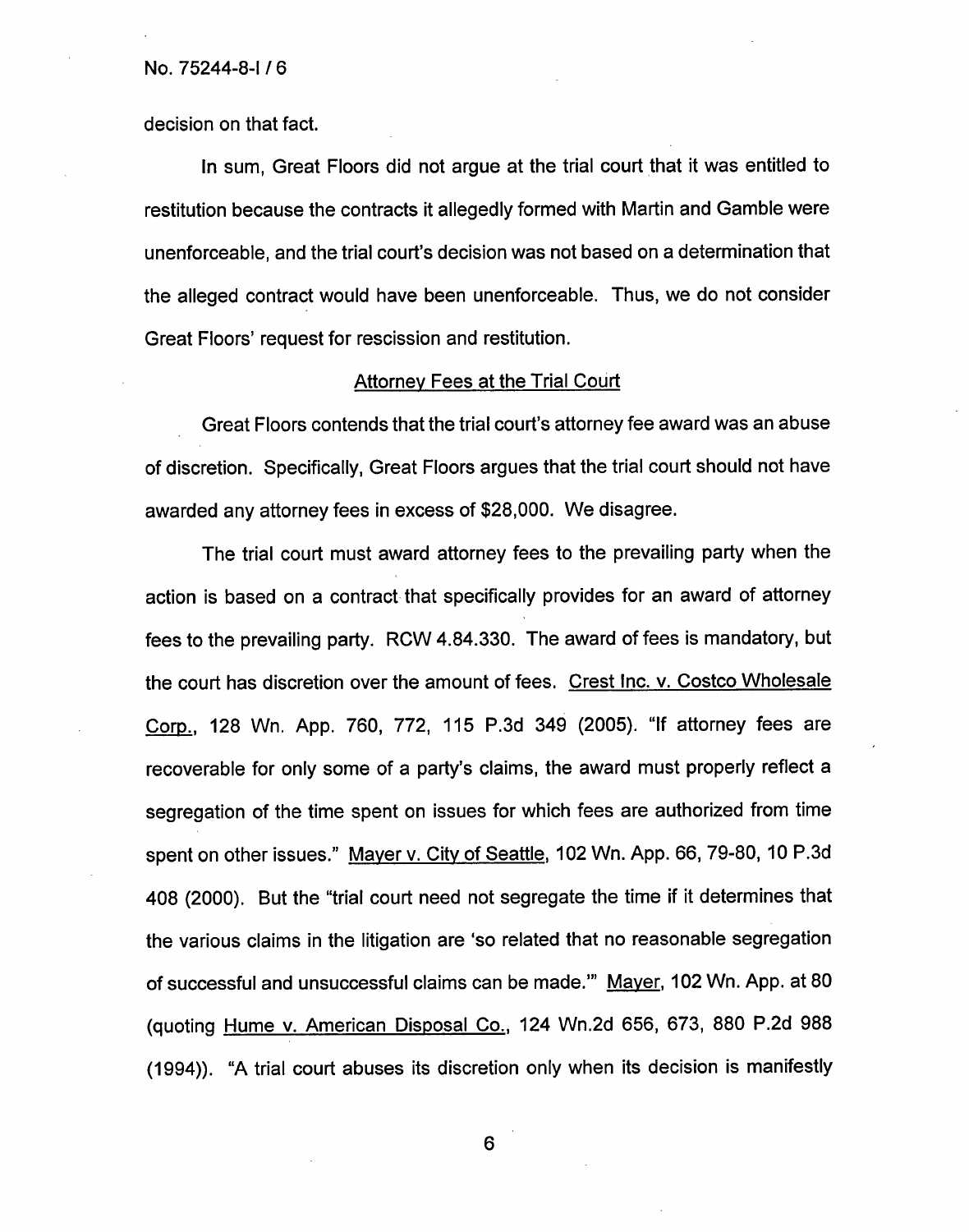#### No. 75244-8-1 / 6

decision on that fact.

In sum, Great Floors did not argue at the trial court that it was entitled to restitution because the contracts it allegedly formed with Martin and Gamble were unenforceable, and the trial court's decision was not based on a determination that the alleged contract would have been unenforceable. Thus, we do not consider Great Floors' request for rescission and restitution.

## Attorney Fees at the Trial Court

Great Floors contends that the trial court's attorney fee award was an abuse of discretion. Specifically, Great Floors argues that the trial court should not have awarded any attorney fees in excess of \$28,000. We disagree.

The trial court must award attorney fees to the prevailing party when the action is based on a contract that specifically provides for an award of attorney fees to the prevailing party. RCW 4.84.330. The award of fees is mandatory, but the court has discretion over the amount of fees. Crest Inc. v. Costco Wholesale Corp., 128 Wn. App. 760, 772, 115 P.3d 349 (2005). "If attorney fees are recoverable for only some of a party's claims, the award must properly reflect a segregation of the time spent on issues for which fees are authorized from time spent on other issues." Mayer v. City of Seattle, 102 Wn. App. 66, 79-80, 10 P.3d 408 (2000). But the "trial court need not segregate the time if it determines that the various claims in the litigation are 'so related that no reasonable segregation of successful and unsuccessful claims can be made." Mayer,102 Wn. App. at 80 (quoting Hume v. American Disposal Co., 124 Wn.2d 656, 673, 880 P.2d 988 (1994)). "A trial court abuses its discretion only when its decision is manifestly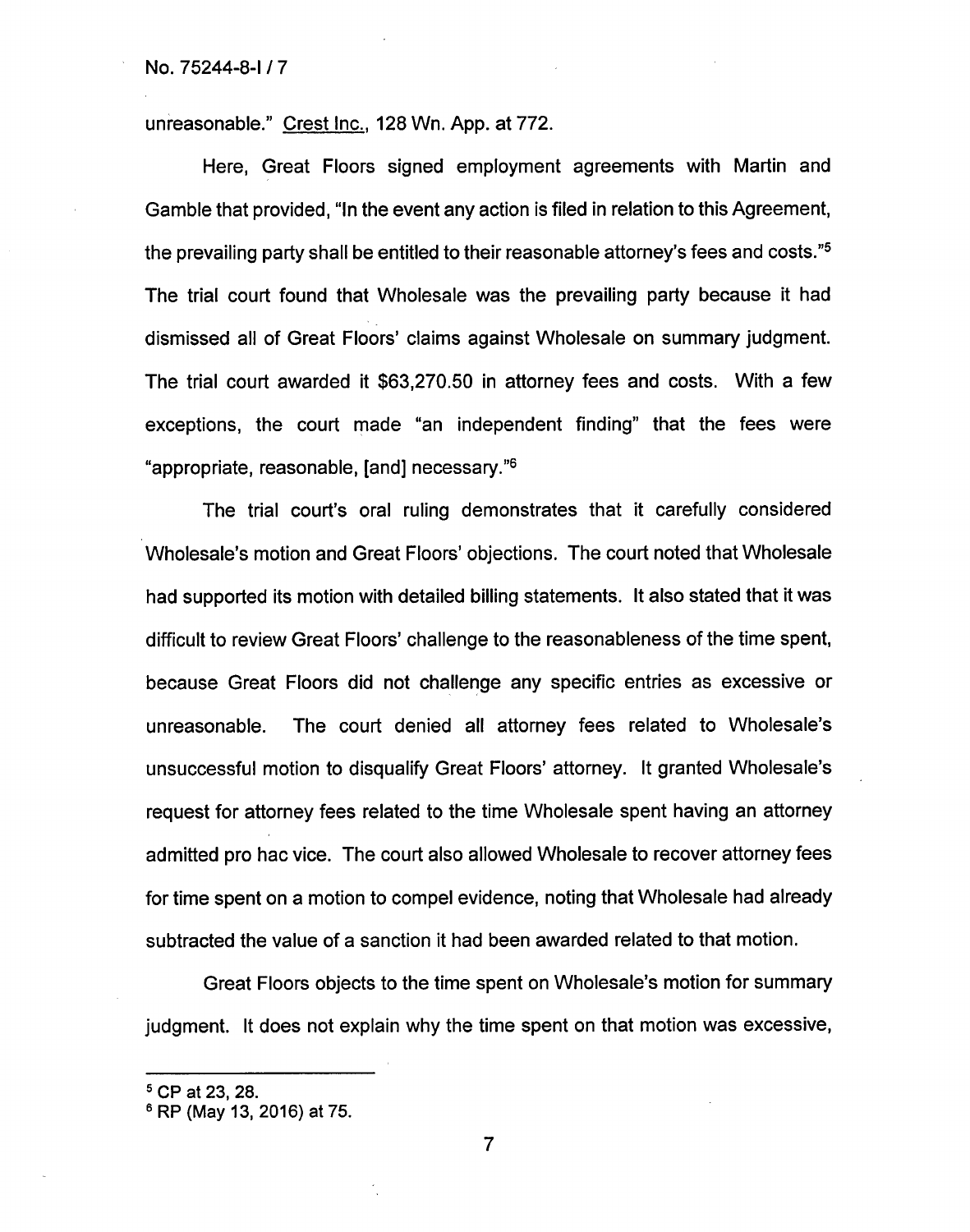#### No. 75244-8-1/7

unreasonable." Crest Inc., 128 Wn. App. at 772.

Here, Great Floors signed employment agreements with Martin and Gamble that provided, "In the event any action is filed in relation to this Agreement, the prevailing party shall be entitled to their reasonable attorney's fees and costs."5 The trial court found that Wholesale was the prevailing party because it had dismissed all of Great Floors' claims against Wholesale on summary judgment. The trial court awarded it \$63,270.50 in attorney fees and costs. With a few exceptions, the court made "an independent finding" that the fees were "appropriate, reasonable, [and] necessary."6

The trial court's oral ruling demonstrates that it carefully considered Wholesale's motion and Great Floors' objections. The court noted that Wholesale had supported its motion with detailed billing statements. It also stated that it was difficult to review Great Floors' challenge to the reasonableness of the time spent, because Great Floors did not challenge any specific entries as excessive or unreasonable. The court denied all attorney fees related to Wholesale's unsuccessful motion to disqualify Great Floors' attorney. It granted Wholesale's request for attorney fees related to the time Wholesale spent having an attorney admitted pro hac vice. The court also allowed Wholesale to recover attorney fees for time spent on a motion to compel evidence, noting that Wholesale had already subtracted the value of a sanction it had been awarded related to that motion.

Great Floors objects to the time spent on Wholesale's motion for summary judgment. It does not explain why the time spent on that motion was excessive,

<sup>5</sup> CP at 23, 28.

<sup>6</sup> RP (May 13, 2016) at 75.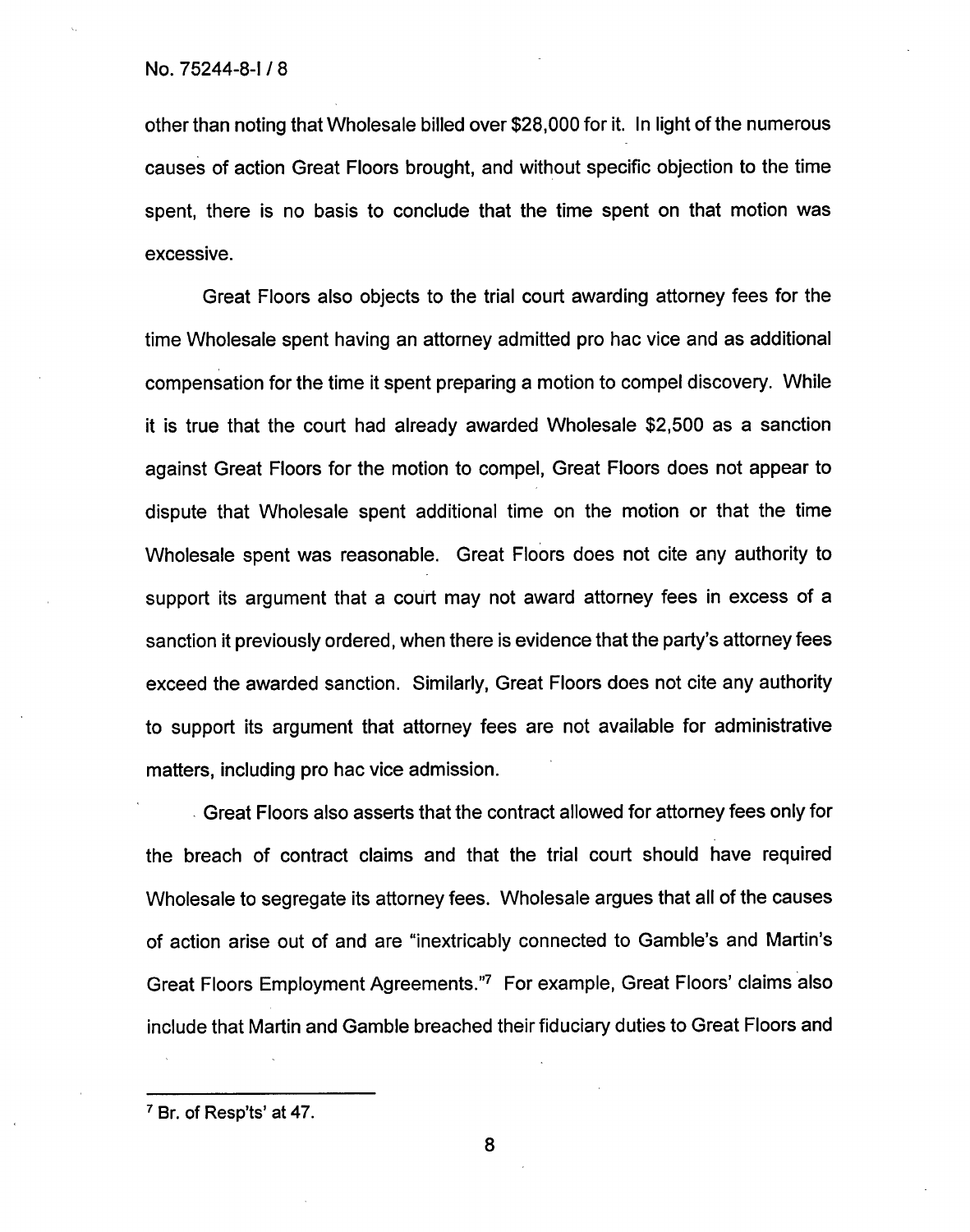other than noting that Wholesale billed over \$28,000 for it. In light of the numerous causes of action Great Floors brought, and without specific objection to the time spent, there is no basis to conclude that the time spent on that motion was excessive.

Great Floors also objects to the trial court awarding attorney fees for the time Wholesale spent having an attorney admitted pro hac vice and as additional compensation for the time it spent preparing a motion to compel discovery. While it is true that the court had already awarded Wholesale \$2,500 as a sanction against Great Floors for the motion to compel, Great Floors does not appear to dispute that Wholesale spent additional time on the motion or that the time Wholesale spent was reasonable. Great Floors does not cite any authority to support its argument that a court may not award attorney fees in excess of a sanction it previously ordered, when there is evidence that the party's attorney fees exceed the awarded sanction. Similarly, Great Floors does not cite any authority to support its argument that attorney fees are not available for administrative matters, including pro hac vice admission.

Great Floors also asserts that the contract allowed for attorney fees only for the breach of contract claims and that the trial court should have required Wholesale to segregate its attorney fees. Wholesale argues that all of the causes of action arise out of and are "inextricably connected to Gamble's and Martin's Great Floors Employment Agreements."7 For example, Great Floors' claims also include that Martin and Gamble breached their fiduciary duties to Great Floors and

<sup>7</sup> Br. of Resp'ts' at 47.